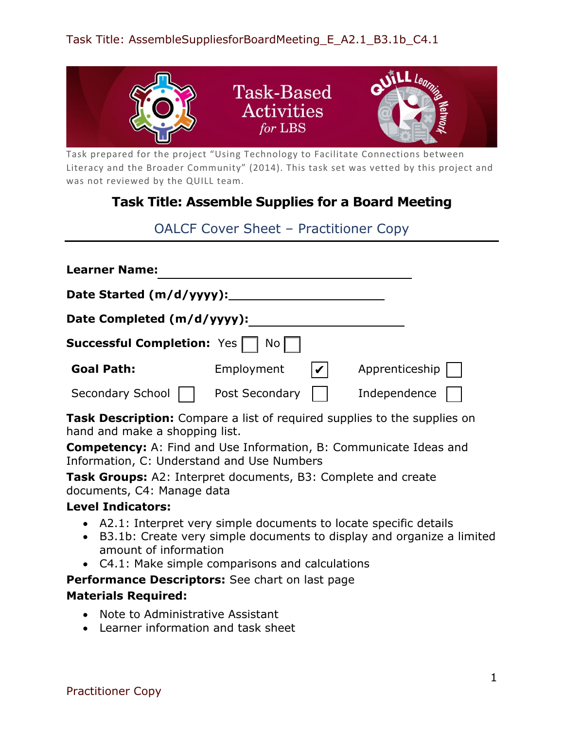

Task prepared for the project "Using Technology to Facilitate Connections between Literacy and the Broader Community" (2014). This task set was vetted by this project and was not reviewed by the QUILL team.

## **Task Title: Assemble Supplies for a Board Meeting**

OALCF Cover Sheet – Practitioner Copy

| <b>Learner Name:</b>                                                            |                |  |                |  |  |
|---------------------------------------------------------------------------------|----------------|--|----------------|--|--|
| Date Started (m/d/yyyy):                                                        |                |  |                |  |  |
| Date Completed (m/d/yyyy):                                                      |                |  |                |  |  |
| <b>Successful Completion: Yes</b><br>No                                         |                |  |                |  |  |
| <b>Goal Path:</b>                                                               | Employment     |  | Apprenticeship |  |  |
| Secondary School                                                                | Post Secondary |  | Independence   |  |  |
| <b>Task Description:</b> Compare a list of required supplies to the supplies on |                |  |                |  |  |

hand and make a shopping list.

**Competency:** A: Find and Use Information, B: Communicate Ideas and Information, C: Understand and Use Numbers

**Task Groups:** A2: Interpret documents, B3: Complete and create documents, C4: Manage data

### **Level Indicators:**

- A2.1: Interpret very simple documents to locate specific details
- B3.1b: Create very simple documents to display and organize a limited amount of information
- C4.1: Make simple comparisons and calculations

**Performance Descriptors:** See chart on last page

### **Materials Required:**

- Note to Administrative Assistant
- Learner information and task sheet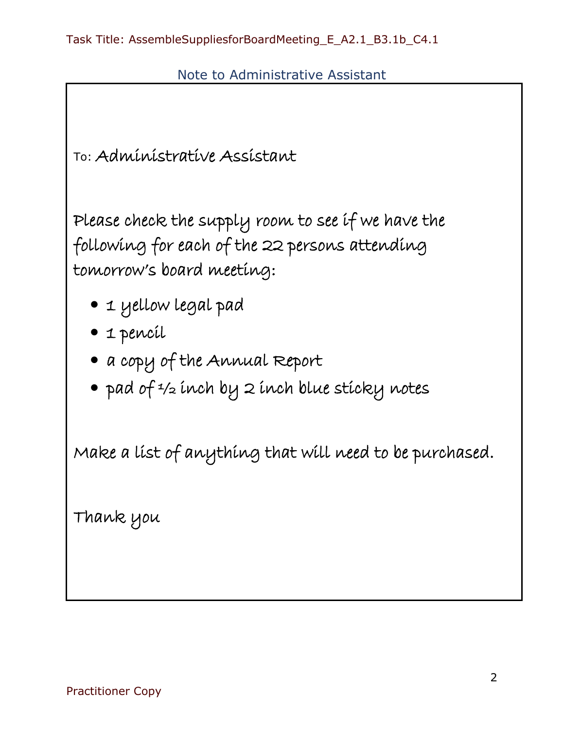Note to Administrative Assistant

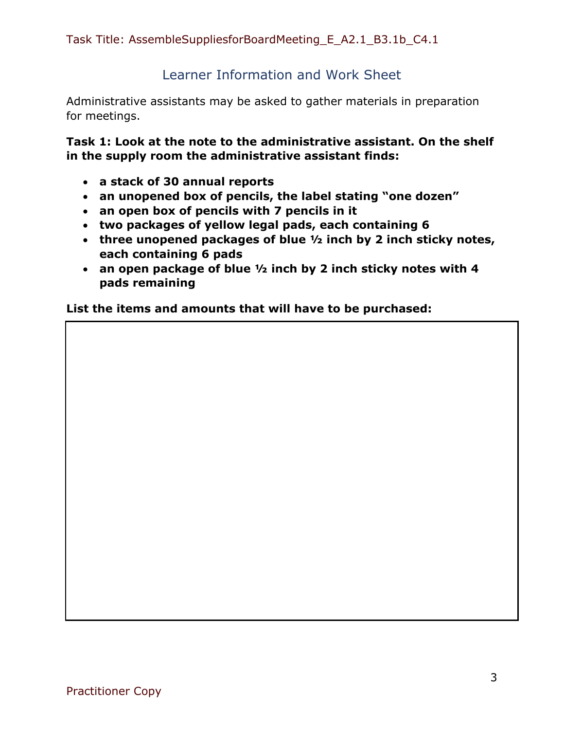## Learner Information and Work Sheet

Administrative assistants may be asked to gather materials in preparation for meetings.

**Task 1: Look at the note to the administrative assistant. On the shelf in the supply room the administrative assistant finds:**

- **a stack of 30 annual reports**
- **an unopened box of pencils, the label stating "one dozen"**
- **an open box of pencils with 7 pencils in it**
- **two packages of yellow legal pads, each containing 6**
- **three unopened packages of blue ½ inch by 2 inch sticky notes, each containing 6 pads**
- **an open package of blue ½ inch by 2 inch sticky notes with 4 pads remaining**

**List the items and amounts that will have to be purchased:**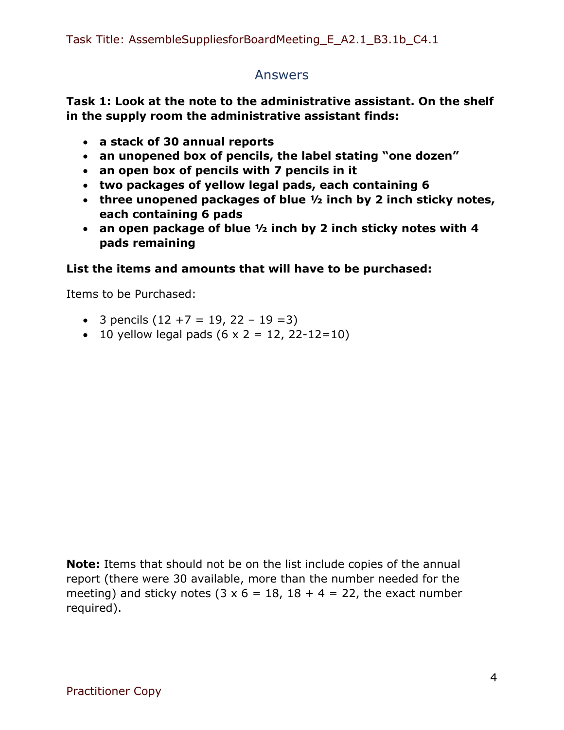### Answers

**Task 1: Look at the note to the administrative assistant. On the shelf in the supply room the administrative assistant finds:**

- **a stack of 30 annual reports**
- **an unopened box of pencils, the label stating "one dozen"**
- **an open box of pencils with 7 pencils in it**
- **two packages of yellow legal pads, each containing 6**
- **three unopened packages of blue ½ inch by 2 inch sticky notes, each containing 6 pads**
- **an open package of blue ½ inch by 2 inch sticky notes with 4 pads remaining**

#### **List the items and amounts that will have to be purchased:**

Items to be Purchased:

- 3 pencils  $(12 + 7 = 19, 22 19 = 3)$
- 10 yellow legal pads  $(6 \times 2 = 12, 22 12 = 10)$

**Note:** Items that should not be on the list include copies of the annual report (there were 30 available, more than the number needed for the meeting) and sticky notes ( $3 \times 6 = 18$ ,  $18 + 4 = 22$ , the exact number required).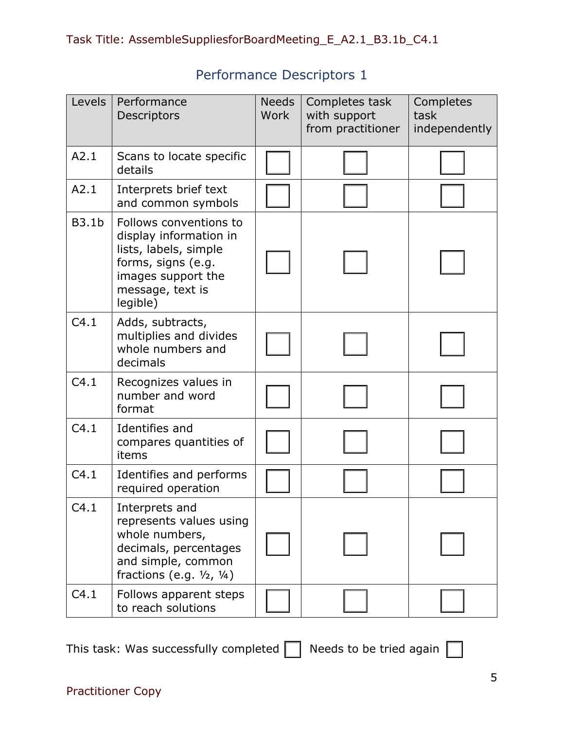# Performance Descriptors 1

| Levels       | Performance<br>Descriptors                                                                                                                            | <b>Needs</b><br><b>Work</b> | Completes task<br>with support<br>from practitioner | Completes<br>task<br>independently |
|--------------|-------------------------------------------------------------------------------------------------------------------------------------------------------|-----------------------------|-----------------------------------------------------|------------------------------------|
| A2.1         | Scans to locate specific<br>details                                                                                                                   |                             |                                                     |                                    |
| A2.1         | Interprets brief text<br>and common symbols                                                                                                           |                             |                                                     |                                    |
| <b>B3.1b</b> | Follows conventions to<br>display information in<br>lists, labels, simple<br>forms, signs (e.g.<br>images support the<br>message, text is<br>legible) |                             |                                                     |                                    |
| C4.1         | Adds, subtracts,<br>multiplies and divides<br>whole numbers and<br>decimals                                                                           |                             |                                                     |                                    |
| C4.1         | Recognizes values in<br>number and word<br>format                                                                                                     |                             |                                                     |                                    |
| C4.1         | Identifies and<br>compares quantities of<br>items                                                                                                     |                             |                                                     |                                    |
| C4.1         | Identifies and performs<br>required operation                                                                                                         |                             |                                                     |                                    |
| C4.1         | Interprets and<br>represents values using<br>whole numbers,<br>decimals, percentages<br>and simple, common<br>fractions (e.g. $1/2$ , $1/4$ )         |                             |                                                     |                                    |
| C4.1         | Follows apparent steps<br>to reach solutions                                                                                                          |                             |                                                     |                                    |